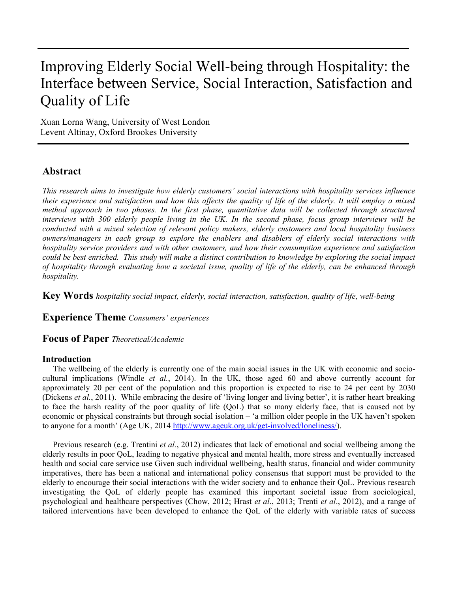# Improving Elderly Social Well-being through Hospitality: the Interface between Service, Social Interaction, Satisfaction and Quality of Life

Xuan Lorna Wang, University of West London Levent Altinay, Oxford Brookes University

# **Abstract**

*This research aims to investigate how elderly customers' social interactions with hospitality services influence their experience and satisfaction and how this affects the quality of life of the elderly. It will employ a mixed method approach in two phases. In the first phase, quantitative data will be collected through structured interviews with 300 elderly people living in the UK. In the second phase, focus group interviews will be conducted with a mixed selection of relevant policy makers, elderly customers and local hospitality business owners/managers in each group to explore the enablers and disablers of elderly social interactions with hospitality service providers and with other customers, and how their consumption experience and satisfaction could be best enriched. This study will make a distinct contribution to knowledge by exploring the social impact of hospitality through evaluating how a societal issue, quality of life of the elderly, can be enhanced through hospitality.* 

**Key Words** *hospitality social impact, elderly, social interaction, satisfaction, quality of life, well-being*

**Experience Theme** *Consumers' experiences* 

**Focus of Paper** *Theoretical/Academic*

## **Introduction**

The wellbeing of the elderly is currently one of the main social issues in the UK with economic and sociocultural implications (Windle *et al.*, 2014). In the UK, those aged 60 and above currently account for approximately 20 per cent of the population and this proportion is expected to rise to 24 per cent by 2030 (Dickens *et al.*, 2011). While embracing the desire of 'living longer and living better', it is rather heart breaking to face the harsh reality of the poor quality of life (QoL) that so many elderly face, that is caused not by economic or physical constraints but through social isolation – 'a million older people in the UK haven't spoken to anyone for a month' (Age UK, 2014 [http://www.ageuk.org.uk/get-involved/loneliness/\)](http://www.ageuk.org.uk/get-involved/loneliness/).

Previous research (e.g. Trentini *et al.*, 2012) indicates that lack of emotional and social wellbeing among the elderly results in poor QoL, leading to negative physical and mental health, more stress and eventually increased health and social care service use Given such individual wellbeing, health status, financial and wider community imperatives, there has been a national and international policy consensus that support must be provided to the elderly to encourage their social interactions with the wider society and to enhance their QoL. Previous research investigating the QoL of elderly people has examined this important societal issue from sociological, psychological and healthcare perspectives (Chow, 2012; Hrast *et al*., 2013; Trenti *et al*., 2012), and a range of tailored interventions have been developed to enhance the QoL of the elderly with variable rates of success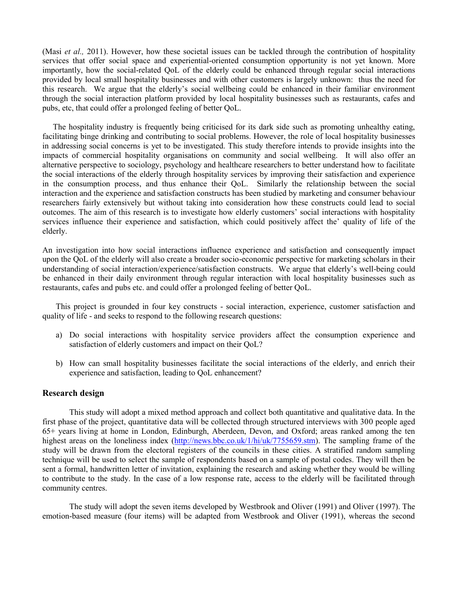(Masi *et al.,* 2011). However, how these societal issues can be tackled through the contribution of hospitality services that offer social space and experiential-oriented consumption opportunity is not yet known. More importantly, how the social-related QoL of the elderly could be enhanced through regular social interactions provided by local small hospitality businesses and with other customers is largely unknown: thus the need for this research.We argue that the elderly's social wellbeing could be enhanced in their familiar environment through the social interaction platform provided by local hospitality businesses such as restaurants, cafes and pubs, etc, that could offer a prolonged feeling of better QoL.

The hospitality industry is frequently being criticised for its dark side such as promoting unhealthy eating, facilitating binge drinking and contributing to social problems. However, the role of local hospitality businesses in addressing social concerns is yet to be investigated. This study therefore intends to provide insights into the impacts of commercial hospitality organisations on community and social wellbeing. It will also offer an alternative perspective to sociology, psychology and healthcare researchers to better understand how to facilitate the social interactions of the elderly through hospitality services by improving their satisfaction and experience in the consumption process, and thus enhance their QoL. Similarly the relationship between the social interaction and the experience and satisfaction constructs has been studied by marketing and consumer behaviour researchers fairly extensively but without taking into consideration how these constructs could lead to social outcomes. The aim of this research is to investigate how elderly customers' social interactions with hospitality services influence their experience and satisfaction, which could positively affect the' quality of life of the elderly.

An investigation into how social interactions influence experience and satisfaction and consequently impact upon the QoL of the elderly will also create a broader socio-economic perspective for marketing scholars in their understanding of social interaction/experience/satisfaction constructs. We argue that elderly's well-being could be enhanced in their daily environment through regular interaction with local hospitality businesses such as restaurants, cafes and pubs etc. and could offer a prolonged feeling of better QoL.

This project is grounded in four key constructs - social interaction, experience, customer satisfaction and quality of life - and seeks to respond to the following research questions:

- a) Do social interactions with hospitality service providers affect the consumption experience and satisfaction of elderly customers and impact on their QoL?
- b) How can small hospitality businesses facilitate the social interactions of the elderly, and enrich their experience and satisfaction, leading to QoL enhancement?

#### **Research design**

This study will adopt a mixed method approach and collect both quantitative and qualitative data. In the first phase of the project, quantitative data will be collected through structured interviews with 300 people aged 65+ years living at home in London, Edinburgh, Aberdeen, Devon, and Oxford; areas ranked among the ten highest areas on the loneliness index [\(http://news.bbc.co.uk/1/hi/uk/7755659.stm\)](http://news.bbc.co.uk/1/hi/uk/7755659.stm). The sampling frame of the study will be drawn from the electoral registers of the councils in these cities. A stratified random sampling technique will be used to select the sample of respondents based on a sample of postal codes. They will then be sent a formal, handwritten letter of invitation, explaining the research and asking whether they would be willing to contribute to the study. In the case of a low response rate, access to the elderly will be facilitated through community centres.

The study will adopt the seven items developed by Westbrook and Oliver (1991) and Oliver (1997). The emotion-based measure (four items) will be adapted from Westbrook and Oliver (1991), whereas the second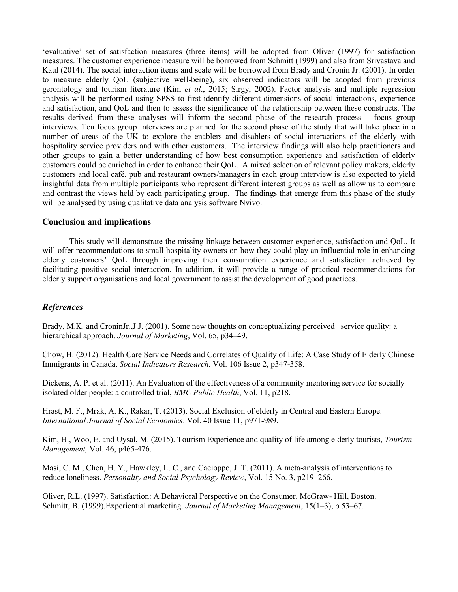'evaluative' set of satisfaction measures (three items) will be adopted from Oliver (1997) for satisfaction measures. The customer experience measure will be borrowed from Schmitt (1999) and also from Srivastava and Kaul (2014). The social interaction items and scale will be borrowed from Brady and Cronin Jr. (2001). In order to measure elderly QoL (subjective well-being), six observed indicators will be adopted from previous gerontology and tourism literature (Kim *et al*., 2015; Sirgy, 2002). Factor analysis and multiple regression analysis will be performed using SPSS to first identify different dimensions of social interactions, experience and satisfaction, and QoL and then to assess the significance of the relationship between these constructs. The results derived from these analyses will inform the second phase of the research process – focus group interviews. Ten focus group interviews are planned for the second phase of the study that will take place in a number of areas of the UK to explore the enablers and disablers of social interactions of the elderly with hospitality service providers and with other customers. The interview findings will also help practitioners and other groups to gain a better understanding of how best consumption experience and satisfaction of elderly customers could be enriched in order to enhance their QoL. A mixed selection of relevant policy makers, elderly customers and local café, pub and restaurant owners/managers in each group interview is also expected to yield insightful data from multiple participants who represent different interest groups as well as allow us to compare and contrast the views held by each participating group. The findings that emerge from this phase of the study will be analysed by using qualitative data analysis software Nvivo.

## **Conclusion and implications**

This study will demonstrate the missing linkage between customer experience, satisfaction and QoL. It will offer recommendations to small hospitality owners on how they could play an influential role in enhancing elderly customers' QoL through improving their consumption experience and satisfaction achieved by facilitating positive social interaction. In addition, it will provide a range of practical recommendations for elderly support organisations and local government to assist the development of good practices.

# *References*

Brady, M.K. and CroninJr.,J.J. (2001). Some new thoughts on conceptualizing perceived service quality: a hierarchical approach. *Journal of Marketing*, Vol. 65, p34–49.

Chow, H. (2012). Health Care Service Needs and Correlates of Quality of Life: A Case Study of Elderly Chinese Immigrants in Canada. *Social Indicators Research.* Vol. 106 Issue 2, p347-358.

Dickens, A. P. et al. (2011). An Evaluation of the effectiveness of a community mentoring service for socially isolated older people: a controlled trial, *BMC Public Health*, Vol. 11, p218.

Hrast, M. F., Mrak, A. K., Rakar, T. (2013). Social Exclusion of elderly in Central and Eastern Europe. *International Journal of Social Economics*. Vol. 40 Issue 11, p971-989.

Kim, H., Woo, E. and Uysal, M. (2015). Tourism Experience and quality of life among elderly tourists, *Tourism Management,* Vol. 46, p465-476.

Masi, C. M., Chen, H. Y., Hawkley, L. C., and Cacioppo, J. T. (2011). A meta-analysis of interventions to reduce loneliness. *Personality and Social Psychology Review*, Vol. 15 No. 3, p219–266.

Oliver, R.L. (1997). Satisfaction: A Behavioral Perspective on the Consumer. McGraw- Hill, Boston. Schmitt, B. (1999).Experiential marketing. *Journal of Marketing Management*, 15(1–3), p 53–67.